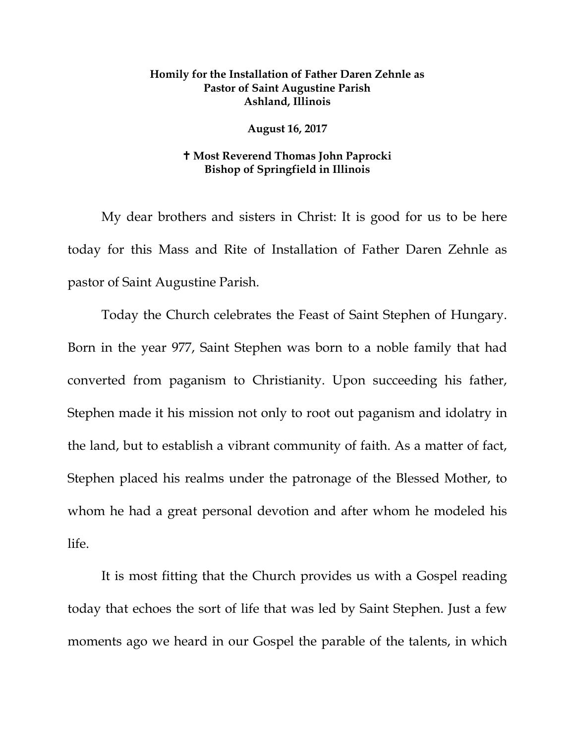## **Homily for the Installation of Father Daren Zehnle as Pastor of Saint Augustine Parish Ashland, Illinois**

## **August 16, 2017**

## **Most Reverend Thomas John Paprocki Bishop of Springfield in Illinois**

My dear brothers and sisters in Christ: It is good for us to be here today for this Mass and Rite of Installation of Father Daren Zehnle as pastor of Saint Augustine Parish.

Today the Church celebrates the Feast of Saint Stephen of Hungary. Born in the year 977, Saint Stephen was born to a noble family that had converted from paganism to Christianity. Upon succeeding his father, Stephen made it his mission not only to root out paganism and idolatry in the land, but to establish a vibrant community of faith. As a matter of fact, Stephen placed his realms under the patronage of the Blessed Mother, to whom he had a great personal devotion and after whom he modeled his life.

It is most fitting that the Church provides us with a Gospel reading today that echoes the sort of life that was led by Saint Stephen. Just a few moments ago we heard in our Gospel the parable of the talents, in which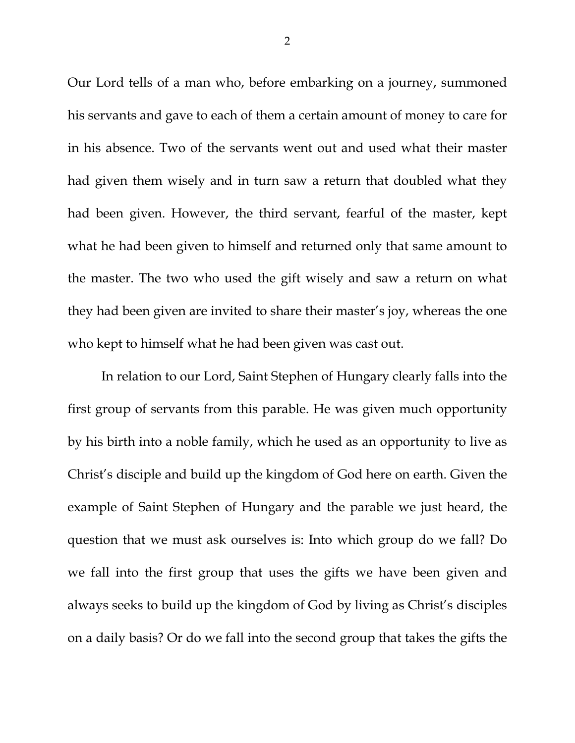Our Lord tells of a man who, before embarking on a journey, summoned his servants and gave to each of them a certain amount of money to care for in his absence. Two of the servants went out and used what their master had given them wisely and in turn saw a return that doubled what they had been given. However, the third servant, fearful of the master, kept what he had been given to himself and returned only that same amount to the master. The two who used the gift wisely and saw a return on what they had been given are invited to share their master's joy, whereas the one who kept to himself what he had been given was cast out.

In relation to our Lord, Saint Stephen of Hungary clearly falls into the first group of servants from this parable. He was given much opportunity by his birth into a noble family, which he used as an opportunity to live as Christ's disciple and build up the kingdom of God here on earth. Given the example of Saint Stephen of Hungary and the parable we just heard, the question that we must ask ourselves is: Into which group do we fall? Do we fall into the first group that uses the gifts we have been given and always seeks to build up the kingdom of God by living as Christ's disciples on a daily basis? Or do we fall into the second group that takes the gifts the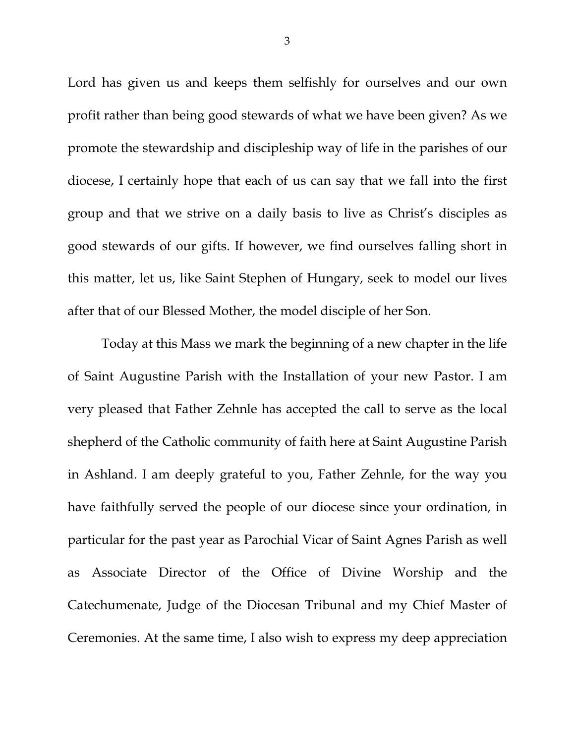Lord has given us and keeps them selfishly for ourselves and our own profit rather than being good stewards of what we have been given? As we promote the stewardship and discipleship way of life in the parishes of our diocese, I certainly hope that each of us can say that we fall into the first group and that we strive on a daily basis to live as Christ's disciples as good stewards of our gifts. If however, we find ourselves falling short in this matter, let us, like Saint Stephen of Hungary, seek to model our lives after that of our Blessed Mother, the model disciple of her Son.

Today at this Mass we mark the beginning of a new chapter in the life of Saint Augustine Parish with the Installation of your new Pastor. I am very pleased that Father Zehnle has accepted the call to serve as the local shepherd of the Catholic community of faith here at Saint Augustine Parish in Ashland. I am deeply grateful to you, Father Zehnle, for the way you have faithfully served the people of our diocese since your ordination, in particular for the past year as Parochial Vicar of Saint Agnes Parish as well as Associate Director of the Office of Divine Worship and the Catechumenate, Judge of the Diocesan Tribunal and my Chief Master of Ceremonies. At the same time, I also wish to express my deep appreciation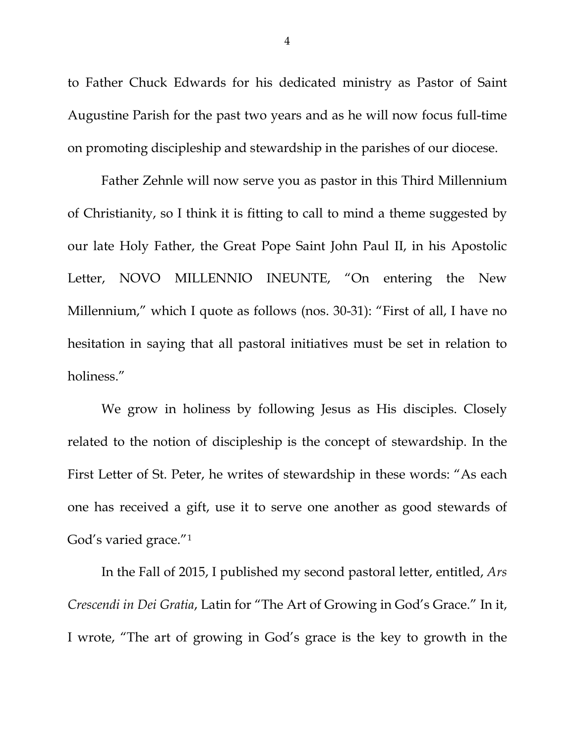to Father Chuck Edwards for his dedicated ministry as Pastor of Saint Augustine Parish for the past two years and as he will now focus full-time on promoting discipleship and stewardship in the parishes of our diocese.

Father Zehnle will now serve you as pastor in this Third Millennium of Christianity, so I think it is fitting to call to mind a theme suggested by our late Holy Father, the Great Pope Saint John Paul II, in his Apostolic Letter, NOVO MILLENNIO INEUNTE, "On entering the New Millennium," which I quote as follows (nos. 30-31): "First of all, I have no hesitation in saying that all pastoral initiatives must be set in relation to holiness."

We grow in holiness by following Jesus as His disciples. Closely related to the notion of discipleship is the concept of stewardship. In the First Letter of St. Peter, he writes of stewardship in these words: "As each one has received a gift, use it to serve one another as good stewards of God's varied grace."[1](#page-7-0)

In the Fall of 2015, I published my second pastoral letter, entitled, *Ars Crescendi in Dei Gratia*, Latin for "The Art of Growing in God's Grace." In it, I wrote, "The art of growing in God's grace is the key to growth in the

4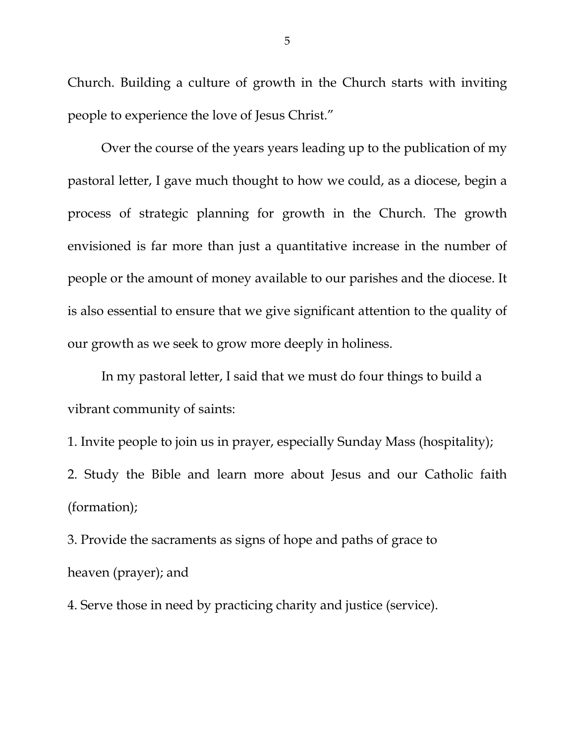Church. Building a culture of growth in the Church starts with inviting people to experience the love of Jesus Christ."

Over the course of the years years leading up to the publication of my pastoral letter, I gave much thought to how we could, as a diocese, begin a process of strategic planning for growth in the Church. The growth envisioned is far more than just a quantitative increase in the number of people or the amount of money available to our parishes and the diocese. It is also essential to ensure that we give significant attention to the quality of our growth as we seek to grow more deeply in holiness.

In my pastoral letter, I said that we must do four things to build a vibrant community of saints:

1. Invite people to join us in prayer, especially Sunday Mass (hospitality); 2. Study the Bible and learn more about Jesus and our Catholic faith (formation);

3. Provide the sacraments as signs of hope and paths of grace to heaven (prayer); and

4. Serve those in need by practicing charity and justice (service).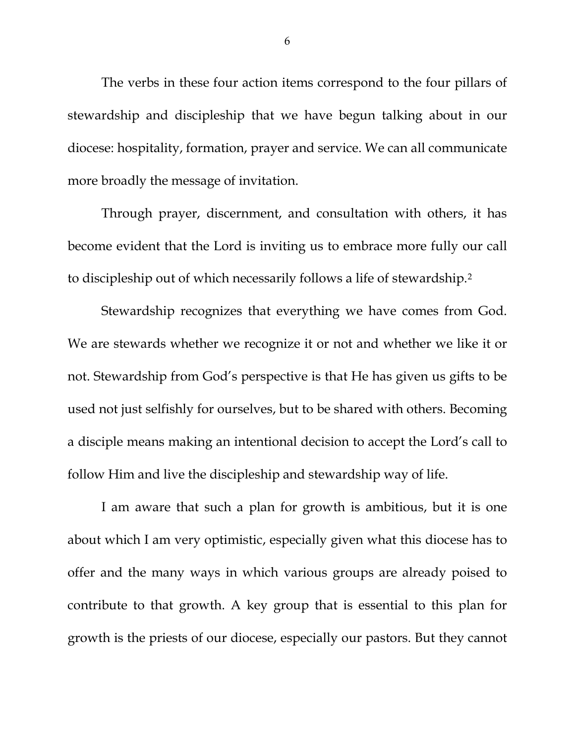The verbs in these four action items correspond to the four pillars of stewardship and discipleship that we have begun talking about in our diocese: hospitality, formation, prayer and service. We can all communicate more broadly the message of invitation.

Through prayer, discernment, and consultation with others, it has become evident that the Lord is inviting us to embrace more fully our call to discipleship out of which necessarily follows a life of stewardship.[2](#page-7-1)

Stewardship recognizes that everything we have comes from God. We are stewards whether we recognize it or not and whether we like it or not. Stewardship from God's perspective is that He has given us gifts to be used not just selfishly for ourselves, but to be shared with others. Becoming a disciple means making an intentional decision to accept the Lord's call to follow Him and live the discipleship and stewardship way of life.

I am aware that such a plan for growth is ambitious, but it is one about which I am very optimistic, especially given what this diocese has to offer and the many ways in which various groups are already poised to contribute to that growth. A key group that is essential to this plan for growth is the priests of our diocese, especially our pastors. But they cannot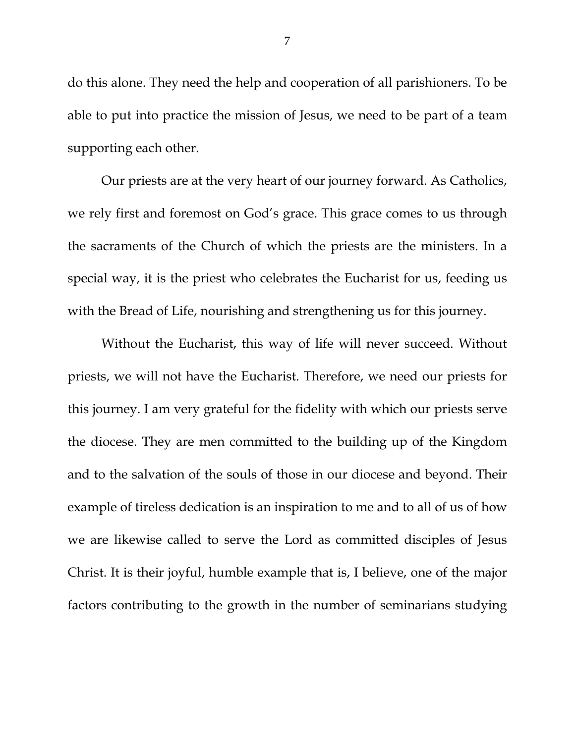do this alone. They need the help and cooperation of all parishioners. To be able to put into practice the mission of Jesus, we need to be part of a team supporting each other.

Our priests are at the very heart of our journey forward. As Catholics, we rely first and foremost on God's grace. This grace comes to us through the sacraments of the Church of which the priests are the ministers. In a special way, it is the priest who celebrates the Eucharist for us, feeding us with the Bread of Life, nourishing and strengthening us for this journey.

Without the Eucharist, this way of life will never succeed. Without priests, we will not have the Eucharist. Therefore, we need our priests for this journey. I am very grateful for the fidelity with which our priests serve the diocese. They are men committed to the building up of the Kingdom and to the salvation of the souls of those in our diocese and beyond. Their example of tireless dedication is an inspiration to me and to all of us of how we are likewise called to serve the Lord as committed disciples of Jesus Christ. It is their joyful, humble example that is, I believe, one of the major factors contributing to the growth in the number of seminarians studying